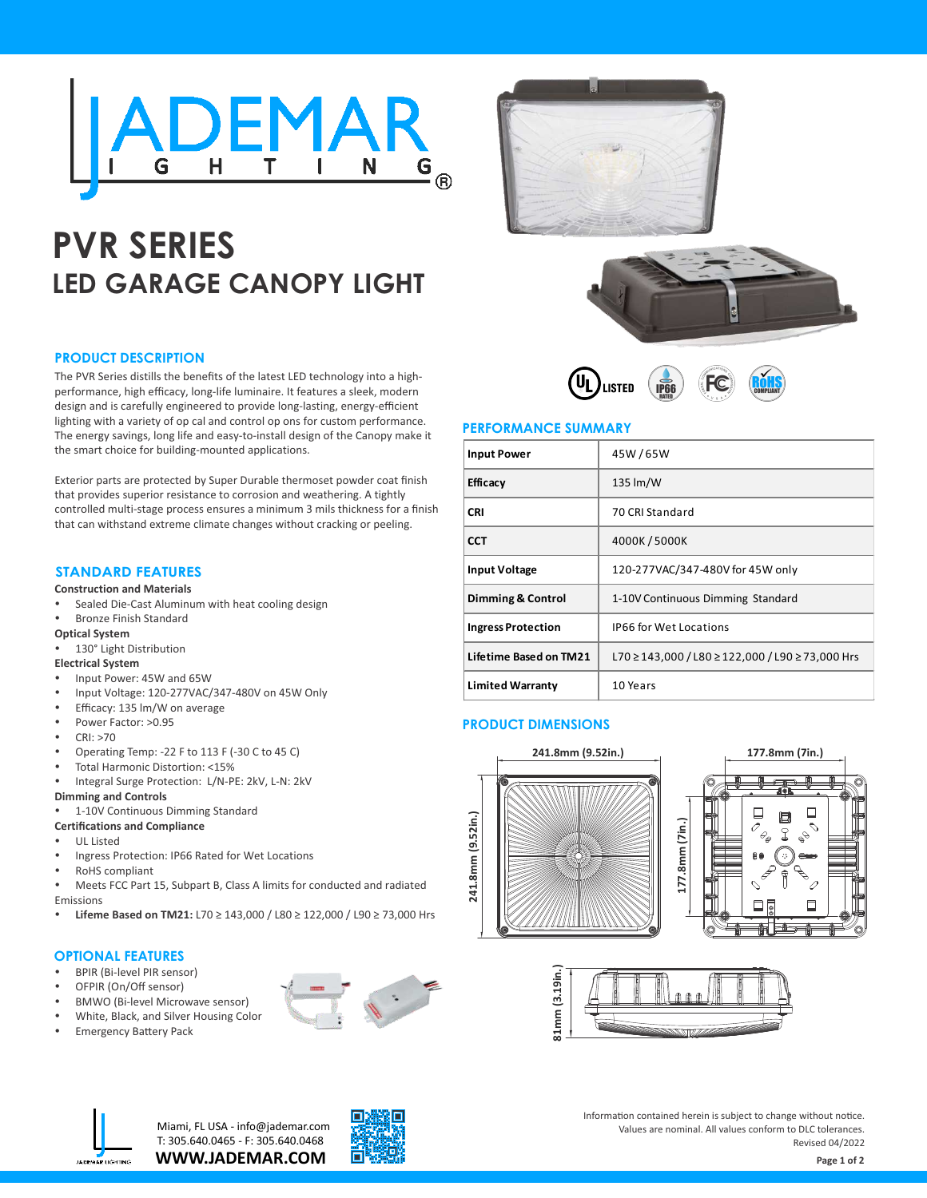

# **PVR SERIES LED GARAGE CANOPY LIGHT**

#### **PRODUCT DESCRIPTION**

The PVR Series distills the benefits of the latest LED technology into a highperformance, high efficacy, long-life luminaire. It features a sleek, modern design and is carefully engineered to provide long-lasting, energy-efficient lighting with a variety of op cal and control op ons for custom performance. The energy savings, long life and easy-to-install design of the Canopy make it the smart choice for building-mounted applications.

Exterior parts are protected by Super Durable thermoset powder coat finish that provides superior resistance to corrosion and weathering. A tightly controlled multi-stage process ensures a minimum 3 mils thickness for a finish that can withstand extreme climate changes without cracking or peeling.

## **STANDARD FEATURES**

#### **Construction and Materials**

Sealed Die-Cast Aluminum with heat cooling design

#### Bronze Finish Standard

- **Optical System**
- 130° Light Distribution

#### **Electrical System**

- Input Power: 45W and 65W
- Input Voltage: 120-277VAC/347-480V on 45W Only
- Efficacy: 135 lm/W on average
- Power Factor: >0.95
- CRI: >70
- Operating Temp: -22 F to 113 F (-30 C to 45 C)
- Total Harmonic Distortion: <15%
- Integral Surge Protection: L/N-PE: 2kV, L-N: 2kV

#### **Dimming and Controls**

1-10V Continuous Dimming Standard

#### **Certifications and Compliance**

- **UL Listed**
- Ingress Protection: IP66 Rated for Wet Locations
- RoHS compliant
- Meets FCC Part 15, Subpart B, Class A limits for conducted and radiated Emissions
- Ÿ **Lifeme Based on TM21:** L70 ≥ 143,000 / L80 ≥ 122,000 / L90 ≥ 73,000 Hrs

#### **OPTIONAL FEATURES**

- **BPIR (Bi-level PIR sensor)**
- OFPIR (On/Off sensor)
- **BMWO (Bi-level Microwave sensor)**
- White, Black, and Silver Housing Color
- Emergency Battery Pack









#### **PERFORMANCE SUMMARY**

| <b>Input Power</b>        | 45W/65W                                          |  |
|---------------------------|--------------------------------------------------|--|
| Efficacy                  | 135 lm/W                                         |  |
| <b>CRI</b>                | 70 CRI Standard                                  |  |
| <b>CCT</b>                | 4000K/5000K                                      |  |
| <b>Input Voltage</b>      | 120-277VAC/347-480V for 45W only                 |  |
| Dimming & Control         | 1-10V Continuous Dimming Standard                |  |
| <b>Ingress Protection</b> | <b>IP66 for Wet Locations</b>                    |  |
| Lifetime Based on TM21    | L70 ≥ 143,000 / L80 ≥ 122,000 / L90 ≥ 73,000 Hrs |  |
| <b>Limited Warranty</b>   | 10 Years                                         |  |

#### **PRODUCT DIMENSIONS**







**WWW.JADEMAR.COM** Miami, FL USA - info@jademar.com T: 305.640.0465 - F: 305.640.0468



Information contained herein is subject to change without notice. Values are nominal. All values conform to DLC tolerances. Revised 04/2022